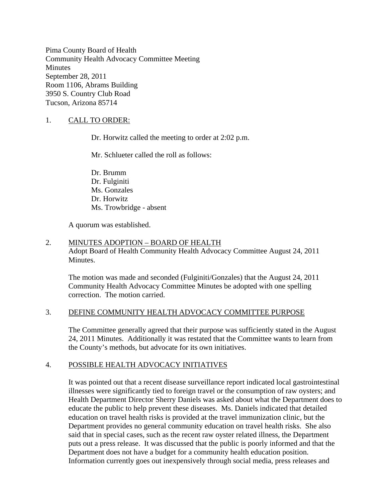Pima County Board of Health Community Health Advocacy Committee Meeting **Minutes** September 28, 2011 Room 1106, Abrams Building 3950 S. Country Club Road Tucson, Arizona 85714

# 1. CALL TO ORDER:

Dr. Horwitz called the meeting to order at 2:02 p.m.

Mr. Schlueter called the roll as follows:

Dr. Brumm Dr. Fulginiti Ms. Gonzales Dr. Horwitz Ms. Trowbridge - absent

A quorum was established.

# 2. MINUTES ADOPTION – BOARD OF HEALTH

Adopt Board of Health Community Health Advocacy Committee August 24, 2011 Minutes.

The motion was made and seconded (Fulginiti/Gonzales) that the August 24, 2011 Community Health Advocacy Committee Minutes be adopted with one spelling correction. The motion carried.

### 3. DEFINE COMMUNITY HEALTH ADVOCACY COMMITTEE PURPOSE

The Committee generally agreed that their purpose was sufficiently stated in the August 24, 2011 Minutes. Additionally it was restated that the Committee wants to learn from the County's methods, but advocate for its own initiatives.

# 4. POSSIBLE HEALTH ADVOCACY INITIATIVES

It was pointed out that a recent disease surveillance report indicated local gastrointestinal illnesses were significantly tied to foreign travel or the consumption of raw oysters; and Health Department Director Sherry Daniels was asked about what the Department does to educate the public to help prevent these diseases. Ms. Daniels indicated that detailed education on travel health risks is provided at the travel immunization clinic, but the Department provides no general community education on travel health risks. She also said that in special cases, such as the recent raw oyster related illness, the Department puts out a press release. It was discussed that the public is poorly informed and that the Department does not have a budget for a community health education position. Information currently goes out inexpensively through social media, press releases and